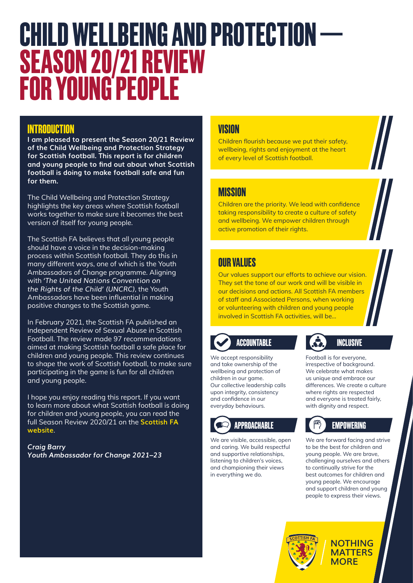# **CHILD WELLBEING AND PROTECTION — SEASON 20/21 REVIEW FOR YOUNG PEOPLE**

### **INTRODUCTION**

**I am pleased to present the Season 20/21 Review of the Child Wellbeing and Protection Strategy for Scottish football. This report is for children and young people to find out about what Scottish football is doing to make football safe and fun for them.**

The Child Wellbeing and Protection Strategy highlights the key areas where Scottish football works together to make sure it becomes the best version of itself for young people.

The Scottish FA believes that all young people should have a voice in the decision-making process within Scottish football. They do this in many different ways, one of which is the Youth Ambassadors of Change programme. Aligning with *'The United Nations Convention on the Rights of the Child' (UNCRC)*, the Youth Ambassadors have been influential in making positive changes to the Scottish game.

In February 2021, the Scottish FA published an Independent Review of Sexual Abuse in Scottish Football. The review made 97 recommendations aimed at making Scottish football a safe place for children and young people. This review continues to shape the work of Scottish football, to make sure participating in the game is fun for all children and young people.

I hope you enjoy reading this report. If you want to learn more about what Scottish football is doing for children and young people, you can read the full Season Review 2020/21 on the **[Scottish FA](https://www.scottishfa.co.uk/scottish-fa/wellbeing-protection/)  [website](https://www.scottishfa.co.uk/scottish-fa/wellbeing-protection/)**.

*Craig Barry Youth Ambassador for Change 2021–23* 

### **VISION**

Children flourish because we put their safety, wellbeing, rights and enjoyment at the heart of every level of Scottish football.

### **MISSION**

Children are the priority. We lead with confidence taking responsibility to create a culture of safety and wellbeing. We empower children through active promotion of their rights.

### **OUR VALUES**

Our values support our efforts to achieve our vision. They set the tone of our work and will be visible in our decisions and actions. All Scottish FA members of staff and Associated Persons, when working or volunteering with children and young people involved in Scottish FA activities, will be...

## **ACCOUNTABLE**

We accept responsibility and take ownership of the wellbeing and protection of children in our game. Our collective leadership calls upon integrity, consistency and confidence in our everyday behaviours.

We are visible, accessible, open and caring. We build respectful and supportive relationships, listening to children's voices, and championing their views in everything we do.

### **INCLUSIVE**

Football is for everyone, irrespective of background. We celebrate what makes us unique and embrace our differences. We create a culture where rights are respected and everyone is treated fairly, with dignity and respect.

### **APPROACHABLE EMPOWERING**

We are forward facing and strive to be the best for children and young people. We are brave, challenging ourselves and others to continually strive for the best outcomes for children and young people. We encourage and support children and young people to express their views.



#### **NOTHING MATTERS MORE**